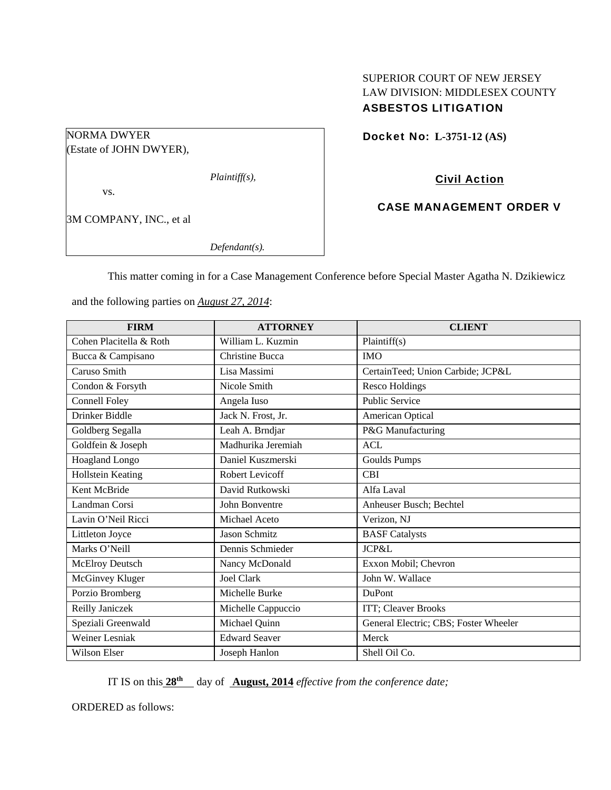# SUPERIOR COURT OF NEW JERSEY LAW DIVISION: MIDDLESEX COUNTY ASBESTOS LITIGATION

Docket No: **L-3751-12 (AS)** 

NORMA DWYER (Estate of JOHN DWYER),

*Plaintiff(s),* 

vs.

3M COMPANY, INC., et al

*Defendant(s).* 

Civil Action

CASE MANAGEMENT ORDER V

This matter coming in for a Case Management Conference before Special Master Agatha N. Dzikiewicz

and the following parties on *August 27, 2014*:

| <b>FIRM</b>             | <b>ATTORNEY</b>        | <b>CLIENT</b>                         |
|-------------------------|------------------------|---------------------------------------|
| Cohen Placitella & Roth | William L. Kuzmin      | Plaintiff(s)                          |
| Bucca & Campisano       | <b>Christine Bucca</b> | <b>IMO</b>                            |
| Caruso Smith            | Lisa Massimi           | CertainTeed; Union Carbide; JCP&L     |
| Condon & Forsyth        | Nicole Smith           | Resco Holdings                        |
| <b>Connell Foley</b>    | Angela Iuso            | <b>Public Service</b>                 |
| Drinker Biddle          | Jack N. Frost, Jr.     | American Optical                      |
| Goldberg Segalla        | Leah A. Brndjar        | P&G Manufacturing                     |
| Goldfein & Joseph       | Madhurika Jeremiah     | <b>ACL</b>                            |
| Hoagland Longo          | Daniel Kuszmerski      | <b>Goulds Pumps</b>                   |
| Hollstein Keating       | Robert Levicoff        | <b>CBI</b>                            |
| Kent McBride            | David Rutkowski        | Alfa Laval                            |
| Landman Corsi           | John Bonventre         | Anheuser Busch; Bechtel               |
| Lavin O'Neil Ricci      | Michael Aceto          | Verizon, NJ                           |
| Littleton Joyce         | <b>Jason Schmitz</b>   | <b>BASF</b> Catalysts                 |
| Marks O'Neill           | Dennis Schmieder       | <b>JCP&amp;L</b>                      |
| McElroy Deutsch         | Nancy McDonald         | Exxon Mobil; Chevron                  |
| McGinvey Kluger         | <b>Joel Clark</b>      | John W. Wallace                       |
| Porzio Bromberg         | Michelle Burke         | <b>DuPont</b>                         |
| Reilly Janiczek         | Michelle Cappuccio     | ITT; Cleaver Brooks                   |
| Speziali Greenwald      | Michael Quinn          | General Electric; CBS; Foster Wheeler |
| <b>Weiner Lesniak</b>   | <b>Edward Seaver</b>   | Merck                                 |
| Wilson Elser            | Joseph Hanlon          | Shell Oil Co.                         |

IT IS on this **28<sup>th</sup>** day of **August, 2014** *effective from the conference date;* 

ORDERED as follows: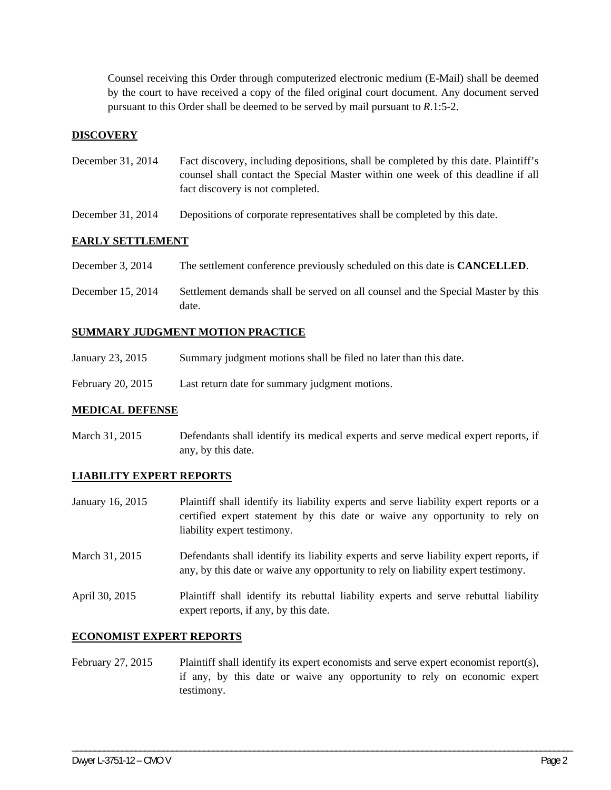Counsel receiving this Order through computerized electronic medium (E-Mail) shall be deemed by the court to have received a copy of the filed original court document. Any document served pursuant to this Order shall be deemed to be served by mail pursuant to *R*.1:5-2.

# **DISCOVERY**

- December 31, 2014 Fact discovery, including depositions, shall be completed by this date. Plaintiff's counsel shall contact the Special Master within one week of this deadline if all fact discovery is not completed.
- December 31, 2014 Depositions of corporate representatives shall be completed by this date.

## **EARLY SETTLEMENT**

- December 3, 2014 The settlement conference previously scheduled on this date is **CANCELLED**.
- December 15, 2014 Settlement demands shall be served on all counsel and the Special Master by this date.

## **SUMMARY JUDGMENT MOTION PRACTICE**

- January 23, 2015 Summary judgment motions shall be filed no later than this date.
- February 20, 2015 Last return date for summary judgment motions.

#### **MEDICAL DEFENSE**

March 31, 2015 Defendants shall identify its medical experts and serve medical expert reports, if any, by this date.

#### **LIABILITY EXPERT REPORTS**

- January 16, 2015 Plaintiff shall identify its liability experts and serve liability expert reports or a certified expert statement by this date or waive any opportunity to rely on liability expert testimony.
- March 31, 2015 Defendants shall identify its liability experts and serve liability expert reports, if any, by this date or waive any opportunity to rely on liability expert testimony.
- April 30, 2015 Plaintiff shall identify its rebuttal liability experts and serve rebuttal liability expert reports, if any, by this date.

## **ECONOMIST EXPERT REPORTS**

February 27, 2015 Plaintiff shall identify its expert economists and serve expert economist report(s), if any, by this date or waive any opportunity to rely on economic expert testimony.

\_\_\_\_\_\_\_\_\_\_\_\_\_\_\_\_\_\_\_\_\_\_\_\_\_\_\_\_\_\_\_\_\_\_\_\_\_\_\_\_\_\_\_\_\_\_\_\_\_\_\_\_\_\_\_\_\_\_\_\_\_\_\_\_\_\_\_\_\_\_\_\_\_\_\_\_\_\_\_\_\_\_\_\_\_\_\_\_\_\_\_\_\_\_\_\_\_\_\_\_\_\_\_\_\_\_\_\_\_\_